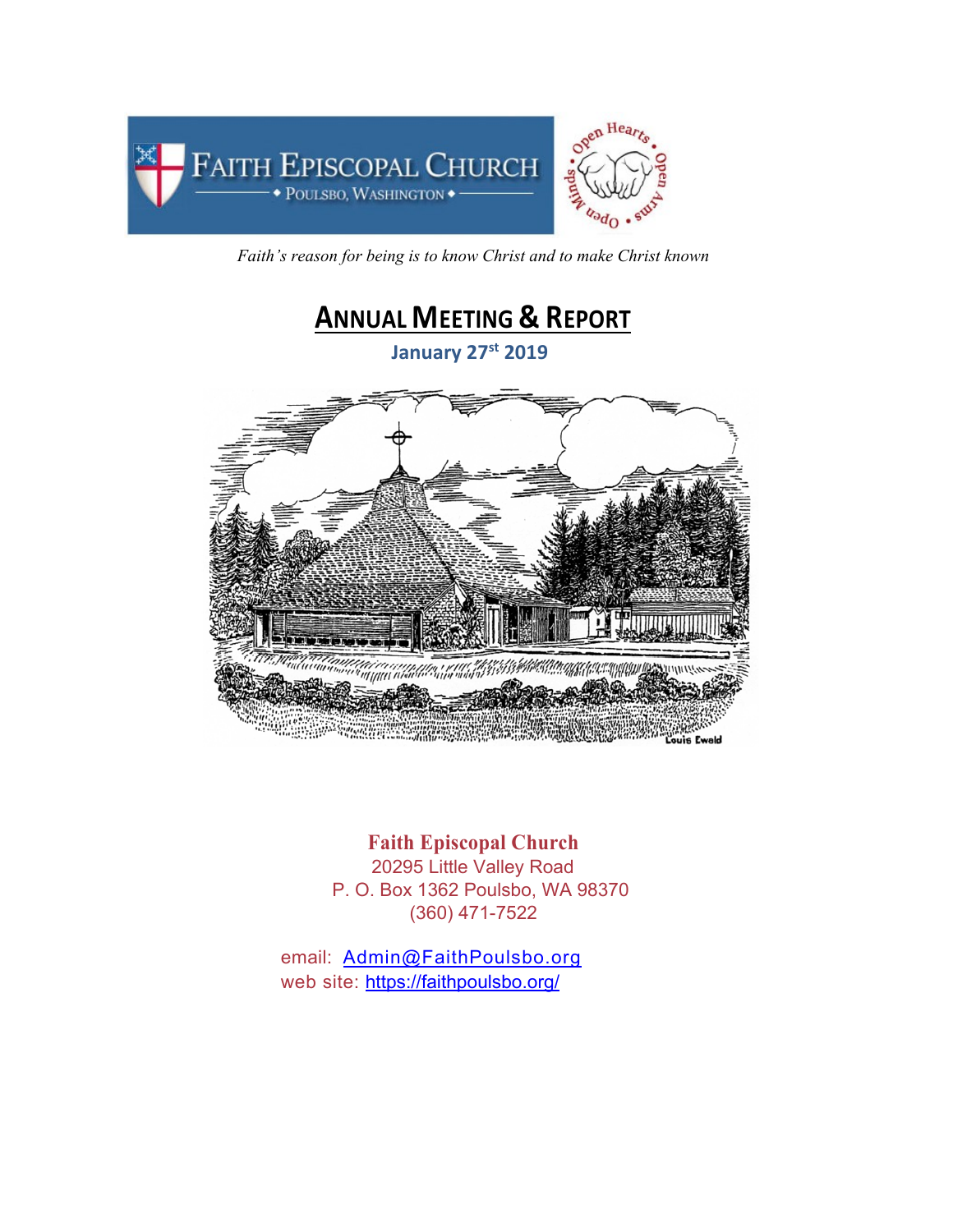

*Faith's reason for being is to know Christ and to make Christ known*



**Faith Episcopal Church** 20295 Little Valley Road P. O. Box 1362 Poulsbo, WA 98370 (360) 471-7522

email: Admin@FaithPoulsbo.org web site: https://faithpoulsbo.org/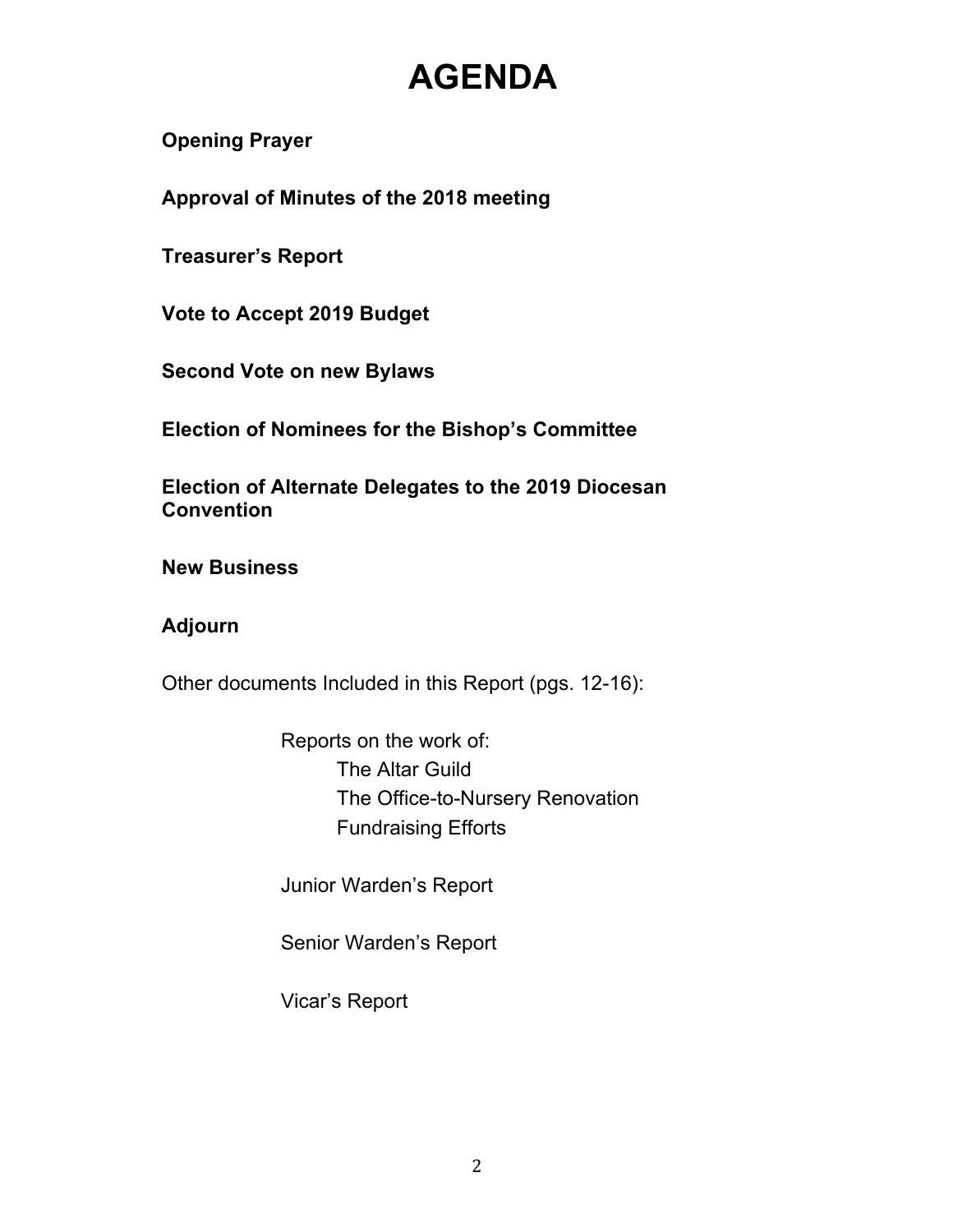# **AGENDA**

**Opening Prayer**

**Approval of Minutes of the 2018 meeting**

**Treasurer's Report**

**Vote to Accept 2019 Budget**

**Second Vote on new Bylaws**

**Election of Nominees for the Bishop's Committee**

**Election of Alternate Delegates to the 2019 Diocesan Convention**

**New Business**

## **Adjourn**

Other documents Included in this Report (pgs. 12-16):

Reports on the work of: The Altar Guild The Office-to-Nursery Renovation Fundraising Efforts

Junior Warden's Report

Senior Warden's Report

Vicar's Report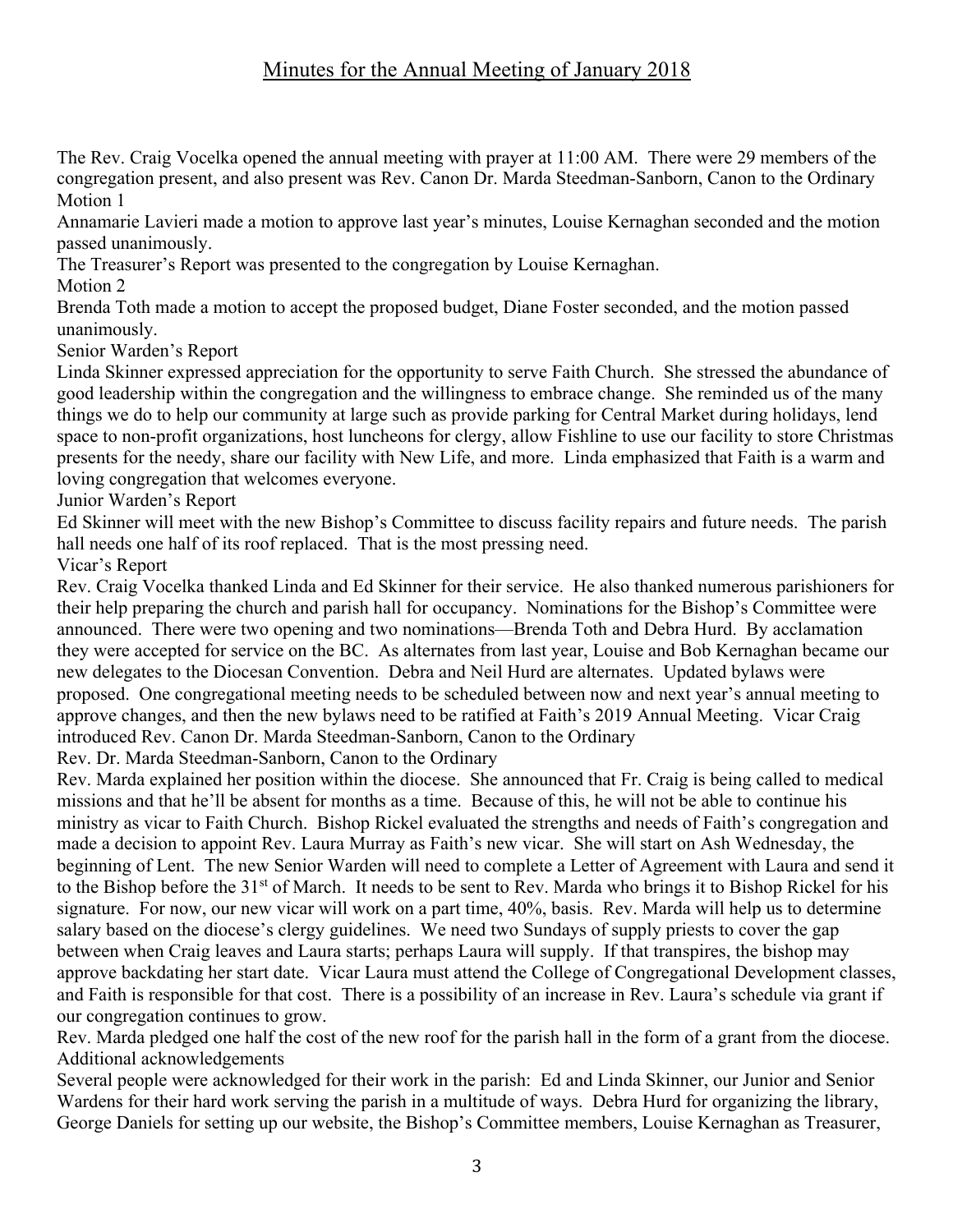## Minutes for the Annual Meeting of January 2018

The Rev. Craig Vocelka opened the annual meeting with prayer at 11:00 AM. There were 29 members of the congregation present, and also present was Rev. Canon Dr. Marda Steedman-Sanborn, Canon to the Ordinary Motion 1

Annamarie Lavieri made a motion to approve last year's minutes, Louise Kernaghan seconded and the motion passed unanimously.

The Treasurer's Report was presented to the congregation by Louise Kernaghan.

Motion 2

Brenda Toth made a motion to accept the proposed budget, Diane Foster seconded, and the motion passed unanimously.

Senior Warden's Report

Linda Skinner expressed appreciation for the opportunity to serve Faith Church. She stressed the abundance of good leadership within the congregation and the willingness to embrace change. She reminded us of the many things we do to help our community at large such as provide parking for Central Market during holidays, lend space to non-profit organizations, host luncheons for clergy, allow Fishline to use our facility to store Christmas presents for the needy, share our facility with New Life, and more. Linda emphasized that Faith is a warm and loving congregation that welcomes everyone.

Junior Warden's Report

Ed Skinner will meet with the new Bishop's Committee to discuss facility repairs and future needs. The parish hall needs one half of its roof replaced. That is the most pressing need.

Vicar's Report

Rev. Craig Vocelka thanked Linda and Ed Skinner for their service. He also thanked numerous parishioners for their help preparing the church and parish hall for occupancy. Nominations for the Bishop's Committee were announced. There were two opening and two nominations—Brenda Toth and Debra Hurd. By acclamation they were accepted for service on the BC. As alternates from last year, Louise and Bob Kernaghan became our new delegates to the Diocesan Convention. Debra and Neil Hurd are alternates. Updated bylaws were proposed. One congregational meeting needs to be scheduled between now and next year's annual meeting to approve changes, and then the new bylaws need to be ratified at Faith's 2019 Annual Meeting. Vicar Craig introduced Rev. Canon Dr. Marda Steedman-Sanborn, Canon to the Ordinary

Rev. Dr. Marda Steedman-Sanborn, Canon to the Ordinary

Rev. Marda explained her position within the diocese. She announced that Fr. Craig is being called to medical missions and that he'll be absent for months as a time. Because of this, he will not be able to continue his ministry as vicar to Faith Church. Bishop Rickel evaluated the strengths and needs of Faith's congregation and made a decision to appoint Rev. Laura Murray as Faith's new vicar. She will start on Ash Wednesday, the beginning of Lent. The new Senior Warden will need to complete a Letter of Agreement with Laura and send it to the Bishop before the 31<sup>st</sup> of March. It needs to be sent to Rev. Marda who brings it to Bishop Rickel for his signature. For now, our new vicar will work on a part time, 40%, basis. Rev. Marda will help us to determine salary based on the diocese's clergy guidelines. We need two Sundays of supply priests to cover the gap between when Craig leaves and Laura starts; perhaps Laura will supply. If that transpires, the bishop may approve backdating her start date. Vicar Laura must attend the College of Congregational Development classes, and Faith is responsible for that cost. There is a possibility of an increase in Rev. Laura's schedule via grant if our congregation continues to grow.

Rev. Marda pledged one half the cost of the new roof for the parish hall in the form of a grant from the diocese. Additional acknowledgements

Several people were acknowledged for their work in the parish: Ed and Linda Skinner, our Junior and Senior Wardens for their hard work serving the parish in a multitude of ways. Debra Hurd for organizing the library, George Daniels for setting up our website, the Bishop's Committee members, Louise Kernaghan as Treasurer,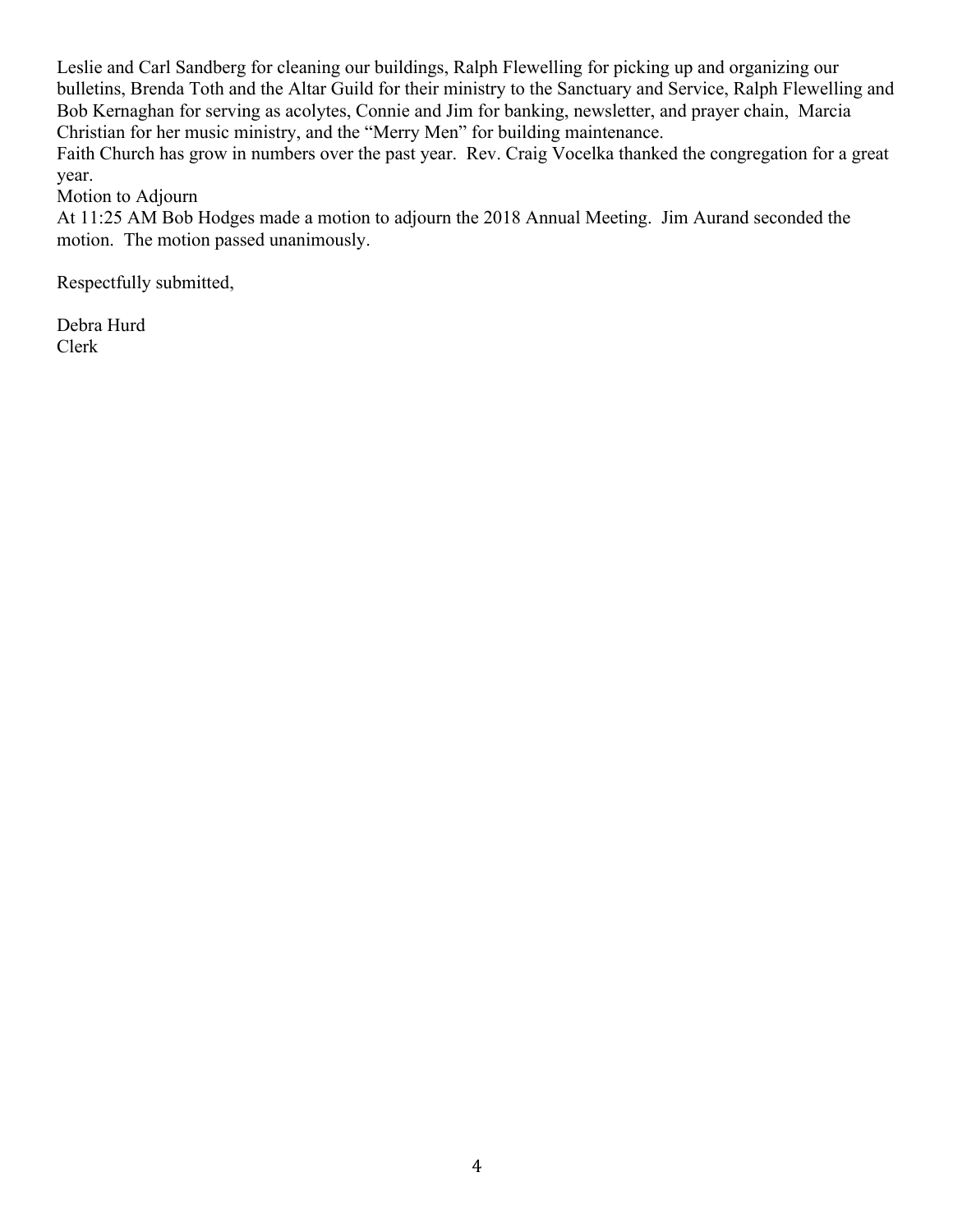Leslie and Carl Sandberg for cleaning our buildings, Ralph Flewelling for picking up and organizing our bulletins, Brenda Toth and the Altar Guild for their ministry to the Sanctuary and Service, Ralph Flewelling and Bob Kernaghan for serving as acolytes, Connie and Jim for banking, newsletter, and prayer chain, Marcia Christian for her music ministry, and the "Merry Men" for building maintenance.

Faith Church has grow in numbers over the past year. Rev. Craig Vocelka thanked the congregation for a great year.

Motion to Adjourn

At 11:25 AM Bob Hodges made a motion to adjourn the 2018 Annual Meeting. Jim Aurand seconded the motion. The motion passed unanimously.

Respectfully submitted,

Debra Hurd Clerk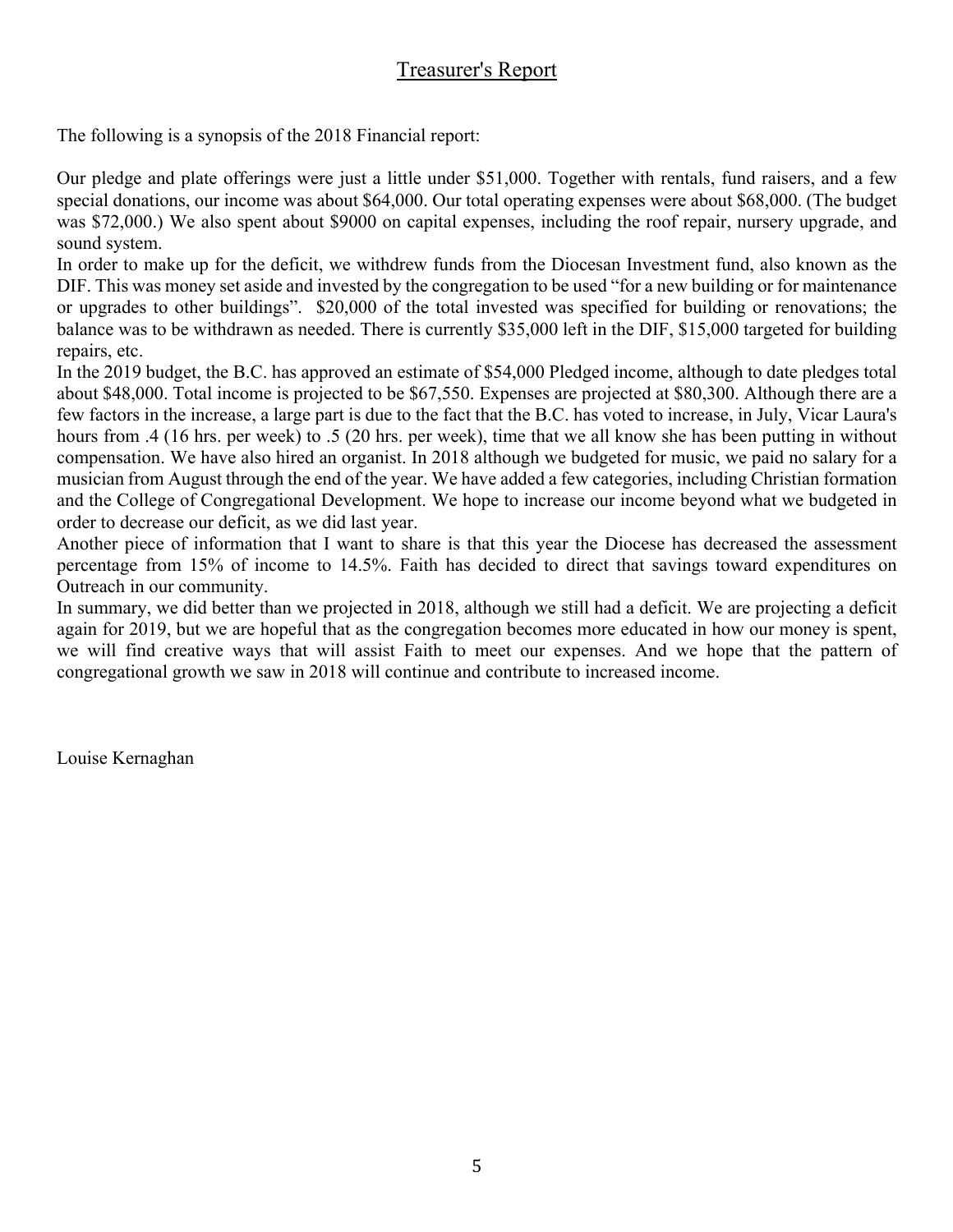## Treasurer's Report

The following is a synopsis of the 2018 Financial report:

Our pledge and plate offerings were just a little under \$51,000. Together with rentals, fund raisers, and a few special donations, our income was about \$64,000. Our total operating expenses were about \$68,000. (The budget was \$72,000.) We also spent about \$9000 on capital expenses, including the roof repair, nursery upgrade, and sound system.

In order to make up for the deficit, we withdrew funds from the Diocesan Investment fund, also known as the DIF. This was money set aside and invested by the congregation to be used "for a new building or for maintenance or upgrades to other buildings". \$20,000 of the total invested was specified for building or renovations; the balance was to be withdrawn as needed. There is currently \$35,000 left in the DIF, \$15,000 targeted for building repairs, etc.

In the 2019 budget, the B.C. has approved an estimate of \$54,000 Pledged income, although to date pledges total about \$48,000. Total income is projected to be \$67,550. Expenses are projected at \$80,300. Although there are a few factors in the increase, a large part is due to the fact that the B.C. has voted to increase, in July, Vicar Laura's hours from .4 (16 hrs. per week) to .5 (20 hrs. per week), time that we all know she has been putting in without compensation. We have also hired an organist. In 2018 although we budgeted for music, we paid no salary for a musician from August through the end of the year. We have added a few categories, including Christian formation and the College of Congregational Development. We hope to increase our income beyond what we budgeted in order to decrease our deficit, as we did last year.

Another piece of information that I want to share is that this year the Diocese has decreased the assessment percentage from 15% of income to 14.5%. Faith has decided to direct that savings toward expenditures on Outreach in our community.

In summary, we did better than we projected in 2018, although we still had a deficit. We are projecting a deficit again for 2019, but we are hopeful that as the congregation becomes more educated in how our money is spent, we will find creative ways that will assist Faith to meet our expenses. And we hope that the pattern of congregational growth we saw in 2018 will continue and contribute to increased income.

Louise Kernaghan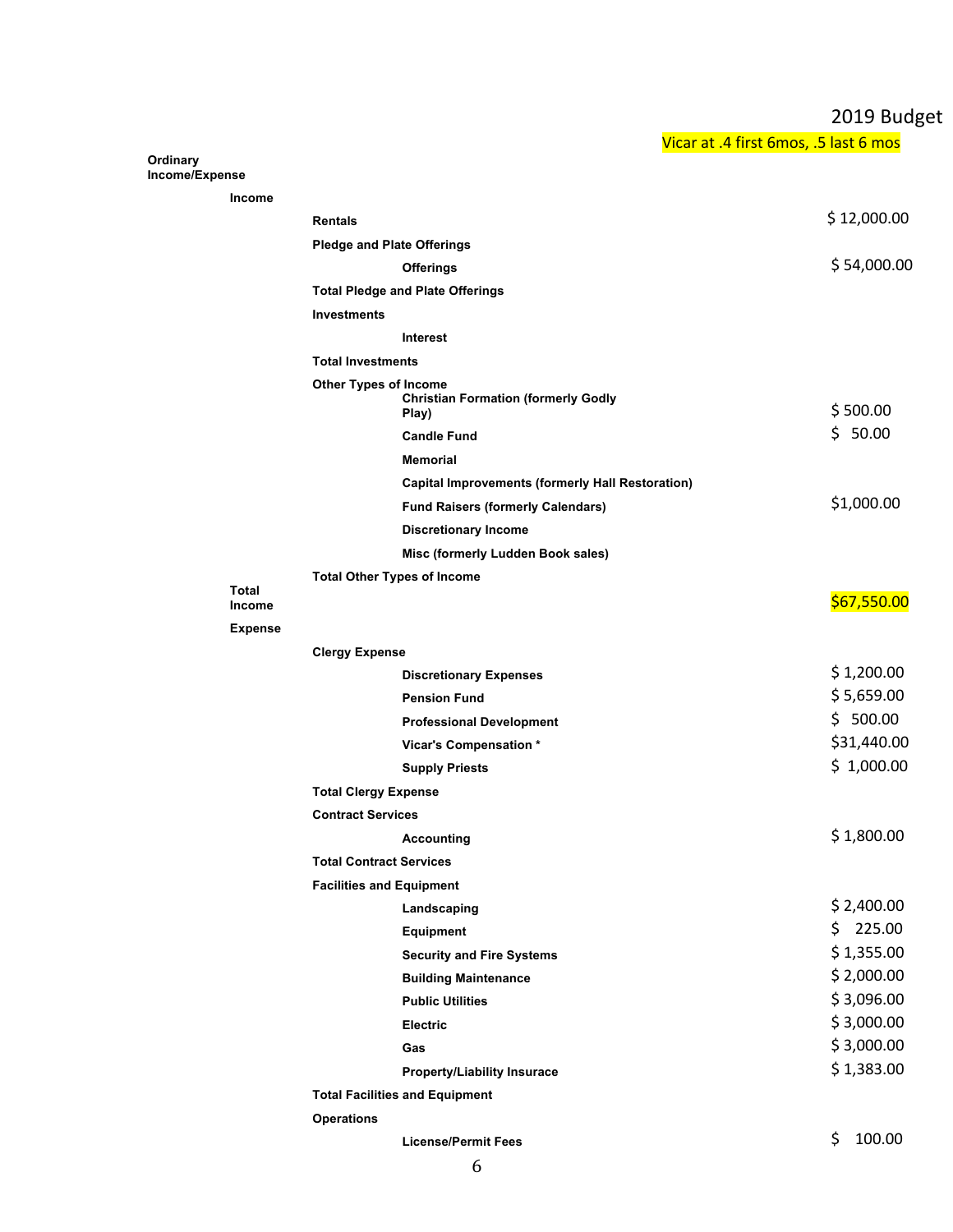## 2019 Budget

Vicar at .4 first 6mos, .5 last 6 mos

**Ordinary Income/Expense**

|                        | <b>Rentals</b>                                                                      | \$12,000.00   |
|------------------------|-------------------------------------------------------------------------------------|---------------|
|                        | <b>Pledge and Plate Offerings</b>                                                   |               |
|                        | <b>Offerings</b>                                                                    | \$54,000.00   |
|                        | <b>Total Pledge and Plate Offerings</b>                                             |               |
|                        | <b>Investments</b>                                                                  |               |
|                        | Interest                                                                            |               |
|                        | <b>Total Investments</b>                                                            |               |
|                        | <b>Other Types of Income</b><br><b>Christian Formation (formerly Godly</b><br>Play) | \$500.00      |
|                        | <b>Candle Fund</b>                                                                  | \$50.00       |
|                        | <b>Memorial</b>                                                                     |               |
|                        | <b>Capital Improvements (formerly Hall Restoration)</b>                             |               |
|                        | <b>Fund Raisers (formerly Calendars)</b>                                            | \$1,000.00    |
|                        | <b>Discretionary Income</b>                                                         |               |
|                        | Misc (formerly Ludden Book sales)                                                   |               |
|                        | <b>Total Other Types of Income</b>                                                  |               |
| Total<br><b>Income</b> |                                                                                     | \$67,550.00   |
| <b>Expense</b>         |                                                                                     |               |
|                        | <b>Clergy Expense</b>                                                               |               |
|                        | <b>Discretionary Expenses</b>                                                       | \$1,200.00    |
|                        | <b>Pension Fund</b>                                                                 | \$5,659.00    |
|                        | <b>Professional Development</b>                                                     | \$500.00      |
|                        | Vicar's Compensation *                                                              | \$31,440.00   |
|                        | <b>Supply Priests</b>                                                               | \$1,000.00    |
|                        | <b>Total Clergy Expense</b>                                                         |               |
|                        | <b>Contract Services</b>                                                            |               |
|                        | <b>Accounting</b>                                                                   | \$1,800.00    |
|                        | <b>Total Contract Services</b>                                                      |               |
|                        | <b>Facilities and Equipment</b>                                                     |               |
|                        | Landscaping                                                                         | \$2,400.00    |
|                        | <b>Equipment</b>                                                                    | \$<br>225.00  |
|                        | <b>Security and Fire Systems</b>                                                    | \$1,355.00    |
|                        | <b>Building Maintenance</b>                                                         | \$2,000.00    |
|                        | <b>Public Utilities</b>                                                             | \$3,096.00    |
|                        | <b>Electric</b>                                                                     | \$3,000.00    |
|                        | Gas                                                                                 | \$3,000.00    |
|                        | <b>Property/Liability Insurace</b>                                                  | \$1,383.00    |
|                        | <b>Total Facilities and Equipment</b>                                               |               |
|                        | <b>Operations</b>                                                                   |               |
|                        | <b>License/Permit Fees</b>                                                          | \$.<br>100.00 |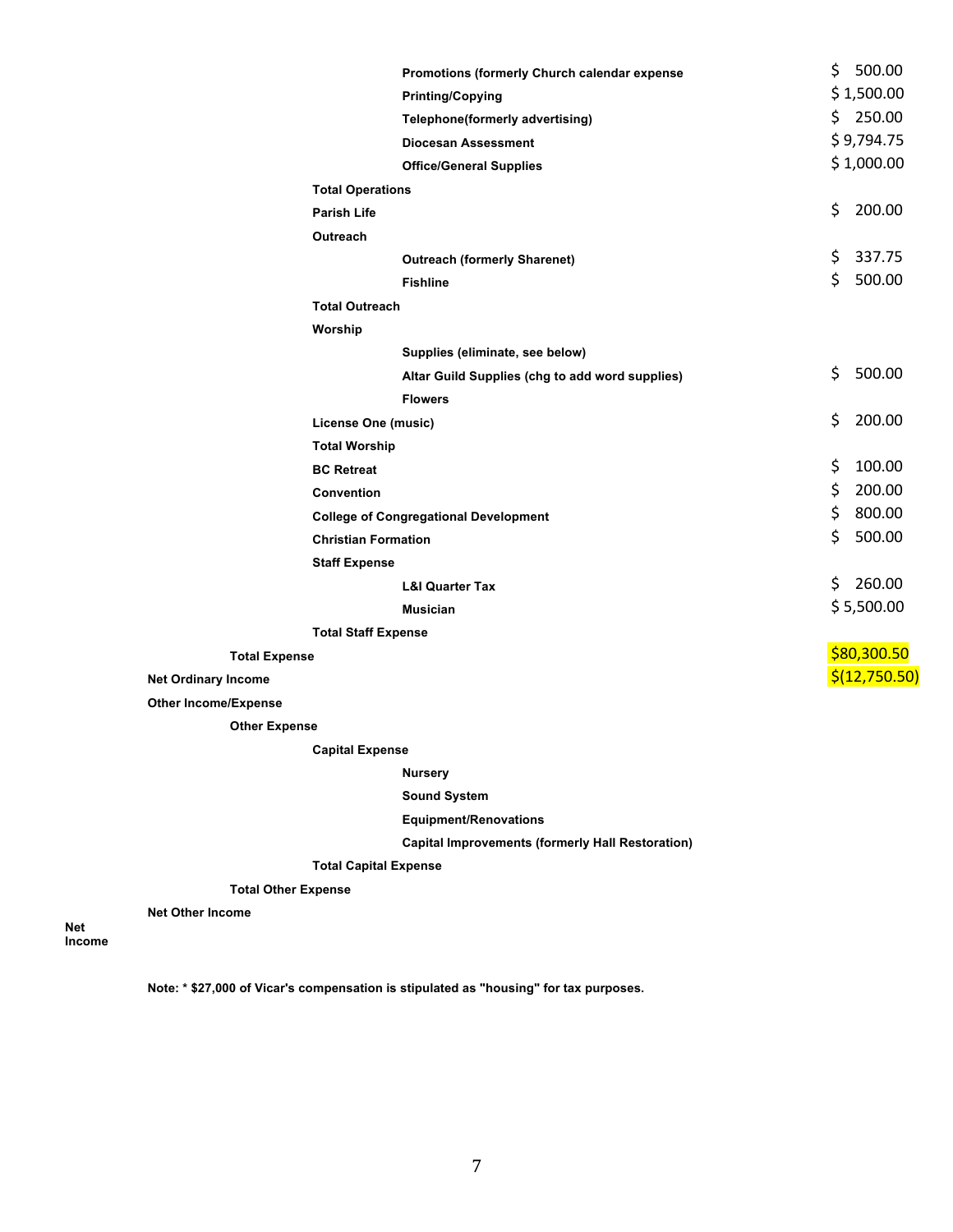|                             |                                              | Promotions (formerly Church calendar expense    | \$     | 500.00        |
|-----------------------------|----------------------------------------------|-------------------------------------------------|--------|---------------|
|                             |                                              | <b>Printing/Copying</b>                         |        | \$1,500.00    |
|                             |                                              | Telephone(formerly advertising)                 | \$     | 250.00        |
|                             |                                              | <b>Diocesan Assessment</b>                      |        | \$9,794.75    |
|                             |                                              | <b>Office/General Supplies</b>                  |        | \$1,000.00    |
|                             | <b>Total Operations</b>                      |                                                 |        |               |
|                             | <b>Parish Life</b>                           |                                                 | \$     | 200.00        |
|                             | Outreach                                     |                                                 |        |               |
|                             |                                              | <b>Outreach (formerly Sharenet)</b>             | \$     | 337.75        |
|                             |                                              | <b>Fishline</b>                                 | \$     | 500.00        |
|                             | <b>Total Outreach</b>                        |                                                 |        |               |
|                             | Worship                                      |                                                 |        |               |
|                             |                                              | Supplies (eliminate, see below)                 |        |               |
|                             |                                              | Altar Guild Supplies (chg to add word supplies) | \$     | 500.00        |
|                             |                                              | <b>Flowers</b>                                  |        |               |
|                             | <b>License One (music)</b>                   |                                                 | \$     | 200.00        |
|                             | <b>Total Worship</b>                         |                                                 |        |               |
|                             | <b>BC Retreat</b>                            |                                                 | \$     | 100.00        |
|                             | <b>Convention</b>                            |                                                 | \$     | 200.00        |
|                             | <b>College of Congregational Development</b> |                                                 | \$     | 800.00        |
| <b>Christian Formation</b>  |                                              | \$                                              | 500.00 |               |
|                             | <b>Staff Expense</b>                         |                                                 |        |               |
|                             |                                              | <b>L&amp;I Quarter Tax</b>                      | \$     | 260.00        |
|                             |                                              | <b>Musician</b>                                 |        | \$5,500.00    |
|                             | <b>Total Staff Expense</b>                   |                                                 |        |               |
|                             | <b>Total Expense</b>                         |                                                 |        | \$80,300.50   |
| <b>Net Ordinary Income</b>  |                                              |                                                 |        | \$(12,750.50) |
| <b>Other Income/Expense</b> |                                              |                                                 |        |               |

**Other Expense**

**Capital Expense**

**Nursery**

**Sound System**

**Equipment/Renovations**

**Capital Improvements (formerly Hall Restoration)**

**Total Capital Expense**

**Total Other Expense**

**Net Other Income**

**Net Income**

**Note: \* \$27,000 of Vicar's compensation is stipulated as "housing" for tax purposes.**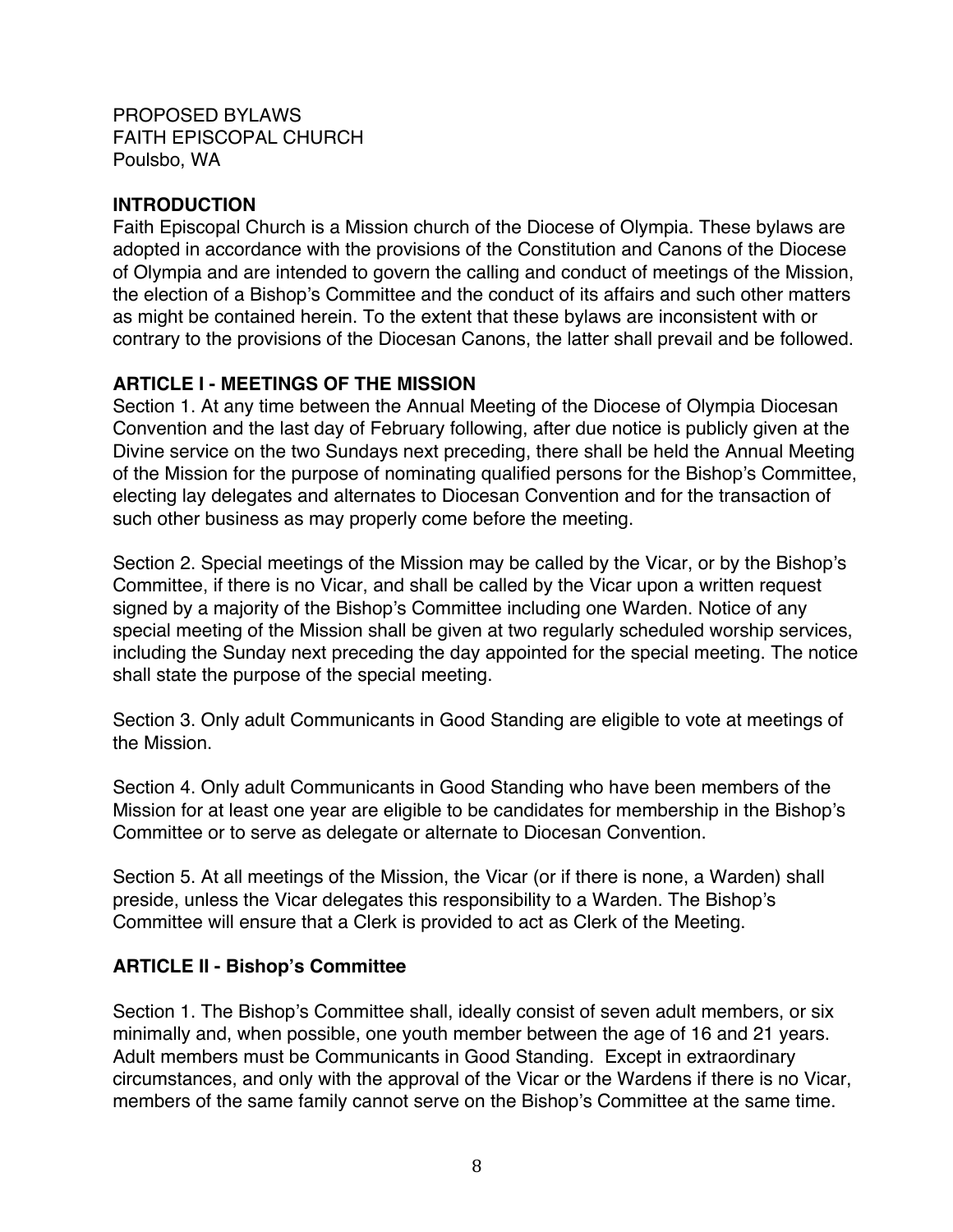PROPOSED BYLAWS FAITH EPISCOPAL CHURCH Poulsbo, WA

#### **INTRODUCTION**

Faith Episcopal Church is a Mission church of the Diocese of Olympia. These bylaws are adopted in accordance with the provisions of the Constitution and Canons of the Diocese of Olympia and are intended to govern the calling and conduct of meetings of the Mission, the election of a Bishop's Committee and the conduct of its affairs and such other matters as might be contained herein. To the extent that these bylaws are inconsistent with or contrary to the provisions of the Diocesan Canons, the latter shall prevail and be followed.

## **ARTICLE I - MEETINGS OF THE MISSION**

Section 1. At any time between the Annual Meeting of the Diocese of Olympia Diocesan Convention and the last day of February following, after due notice is publicly given at the Divine service on the two Sundays next preceding, there shall be held the Annual Meeting of the Mission for the purpose of nominating qualified persons for the Bishop's Committee, electing lay delegates and alternates to Diocesan Convention and for the transaction of such other business as may properly come before the meeting.

Section 2. Special meetings of the Mission may be called by the Vicar, or by the Bishop's Committee, if there is no Vicar, and shall be called by the Vicar upon a written request signed by a majority of the Bishop's Committee including one Warden. Notice of any special meeting of the Mission shall be given at two regularly scheduled worship services, including the Sunday next preceding the day appointed for the special meeting. The notice shall state the purpose of the special meeting.

Section 3. Only adult Communicants in Good Standing are eligible to vote at meetings of the Mission.

Section 4. Only adult Communicants in Good Standing who have been members of the Mission for at least one year are eligible to be candidates for membership in the Bishop's Committee or to serve as delegate or alternate to Diocesan Convention.

Section 5. At all meetings of the Mission, the Vicar (or if there is none, a Warden) shall preside, unless the Vicar delegates this responsibility to a Warden. The Bishop's Committee will ensure that a Clerk is provided to act as Clerk of the Meeting.

#### **ARTICLE II - Bishop's Committee**

Section 1. The Bishop's Committee shall, ideally consist of seven adult members, or six minimally and, when possible, one youth member between the age of 16 and 21 years. Adult members must be Communicants in Good Standing. Except in extraordinary circumstances, and only with the approval of the Vicar or the Wardens if there is no Vicar, members of the same family cannot serve on the Bishop's Committee at the same time.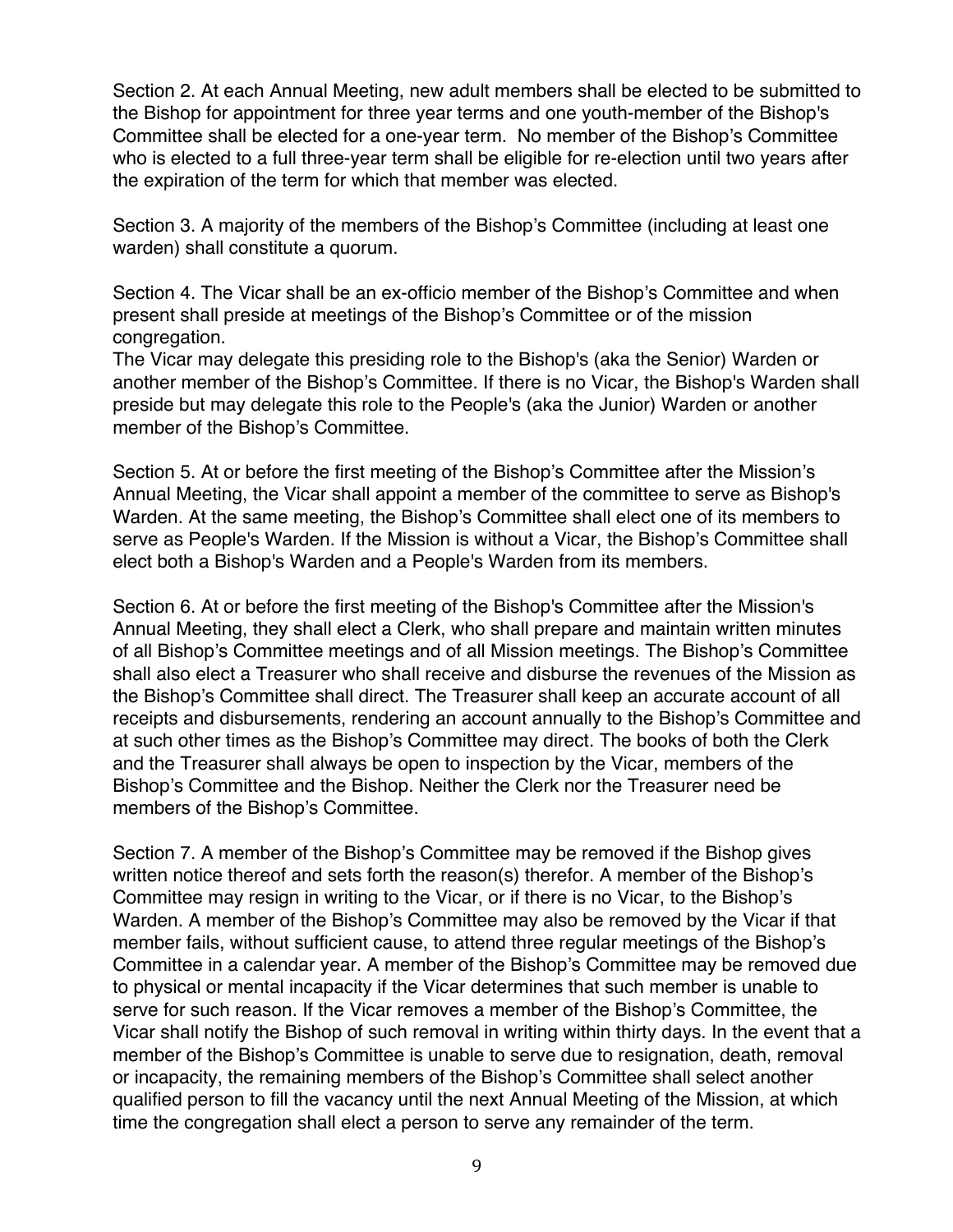Section 2. At each Annual Meeting, new adult members shall be elected to be submitted to the Bishop for appointment for three year terms and one youth-member of the Bishop's Committee shall be elected for a one-year term. No member of the Bishop's Committee who is elected to a full three-year term shall be eligible for re-election until two years after the expiration of the term for which that member was elected.

Section 3. A majority of the members of the Bishop's Committee (including at least one warden) shall constitute a quorum.

Section 4. The Vicar shall be an ex-officio member of the Bishop's Committee and when present shall preside at meetings of the Bishop's Committee or of the mission congregation.

The Vicar may delegate this presiding role to the Bishop's (aka the Senior) Warden or another member of the Bishop's Committee. If there is no Vicar, the Bishop's Warden shall preside but may delegate this role to the People's (aka the Junior) Warden or another member of the Bishop's Committee.

Section 5. At or before the first meeting of the Bishop's Committee after the Mission's Annual Meeting, the Vicar shall appoint a member of the committee to serve as Bishop's Warden. At the same meeting, the Bishop's Committee shall elect one of its members to serve as People's Warden. If the Mission is without a Vicar, the Bishop's Committee shall elect both a Bishop's Warden and a People's Warden from its members.

Section 6. At or before the first meeting of the Bishop's Committee after the Mission's Annual Meeting, they shall elect a Clerk, who shall prepare and maintain written minutes of all Bishop's Committee meetings and of all Mission meetings. The Bishop's Committee shall also elect a Treasurer who shall receive and disburse the revenues of the Mission as the Bishop's Committee shall direct. The Treasurer shall keep an accurate account of all receipts and disbursements, rendering an account annually to the Bishop's Committee and at such other times as the Bishop's Committee may direct. The books of both the Clerk and the Treasurer shall always be open to inspection by the Vicar, members of the Bishop's Committee and the Bishop. Neither the Clerk nor the Treasurer need be members of the Bishop's Committee.

Section 7. A member of the Bishop's Committee may be removed if the Bishop gives written notice thereof and sets forth the reason(s) therefor. A member of the Bishop's Committee may resign in writing to the Vicar, or if there is no Vicar, to the Bishop's Warden. A member of the Bishop's Committee may also be removed by the Vicar if that member fails, without sufficient cause, to attend three regular meetings of the Bishop's Committee in a calendar year. A member of the Bishop's Committee may be removed due to physical or mental incapacity if the Vicar determines that such member is unable to serve for such reason. If the Vicar removes a member of the Bishop's Committee, the Vicar shall notify the Bishop of such removal in writing within thirty days. In the event that a member of the Bishop's Committee is unable to serve due to resignation, death, removal or incapacity, the remaining members of the Bishop's Committee shall select another qualified person to fill the vacancy until the next Annual Meeting of the Mission, at which time the congregation shall elect a person to serve any remainder of the term.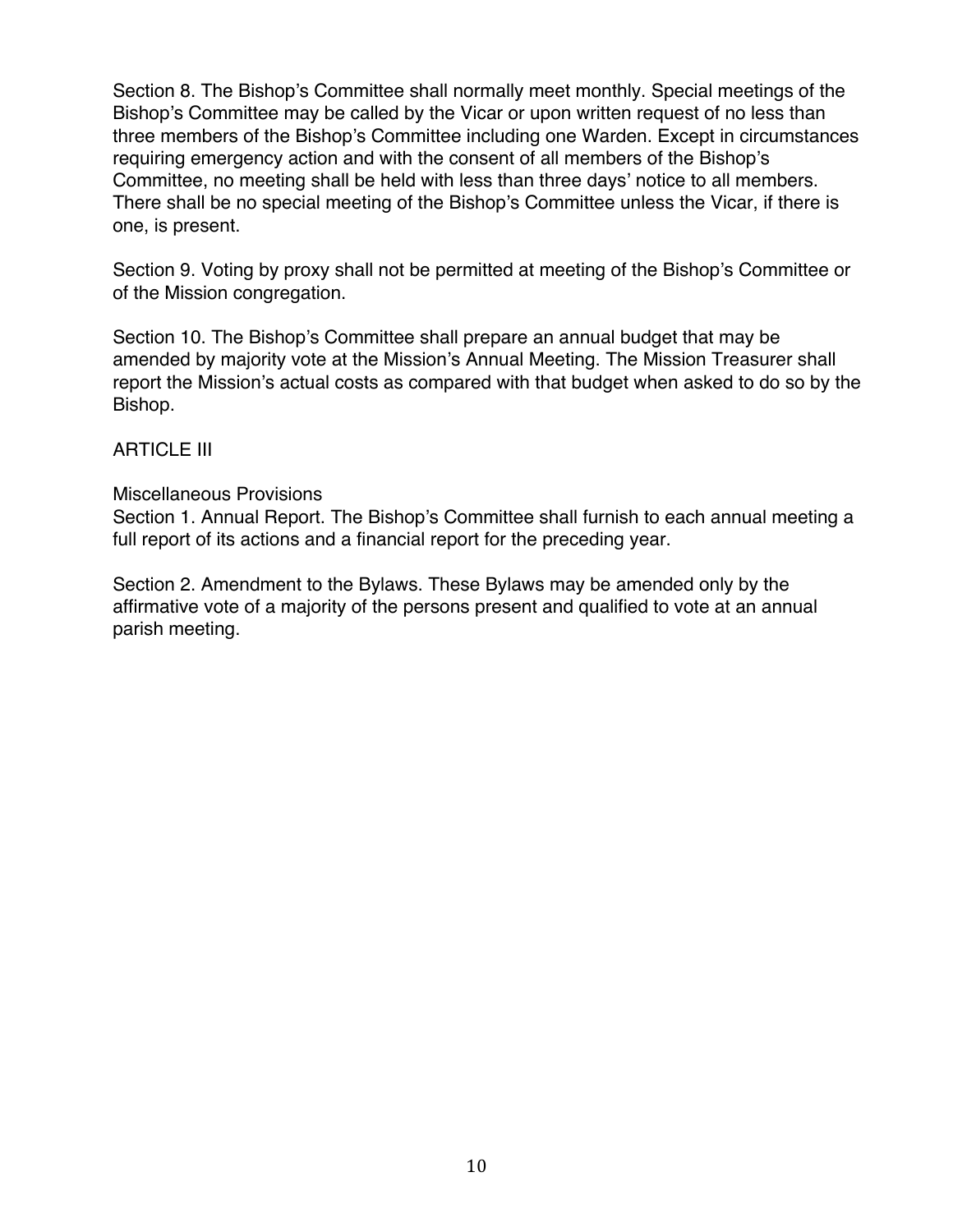Section 8. The Bishop's Committee shall normally meet monthly. Special meetings of the Bishop's Committee may be called by the Vicar or upon written request of no less than three members of the Bishop's Committee including one Warden. Except in circumstances requiring emergency action and with the consent of all members of the Bishop's Committee, no meeting shall be held with less than three days' notice to all members. There shall be no special meeting of the Bishop's Committee unless the Vicar, if there is one, is present.

Section 9. Voting by proxy shall not be permitted at meeting of the Bishop's Committee or of the Mission congregation.

Section 10. The Bishop's Committee shall prepare an annual budget that may be amended by majority vote at the Mission's Annual Meeting. The Mission Treasurer shall report the Mission's actual costs as compared with that budget when asked to do so by the Bishop.

#### ARTICLE III

#### Miscellaneous Provisions

Section 1. Annual Report. The Bishop's Committee shall furnish to each annual meeting a full report of its actions and a financial report for the preceding year.

Section 2. Amendment to the Bylaws. These Bylaws may be amended only by the affirmative vote of a majority of the persons present and qualified to vote at an annual parish meeting.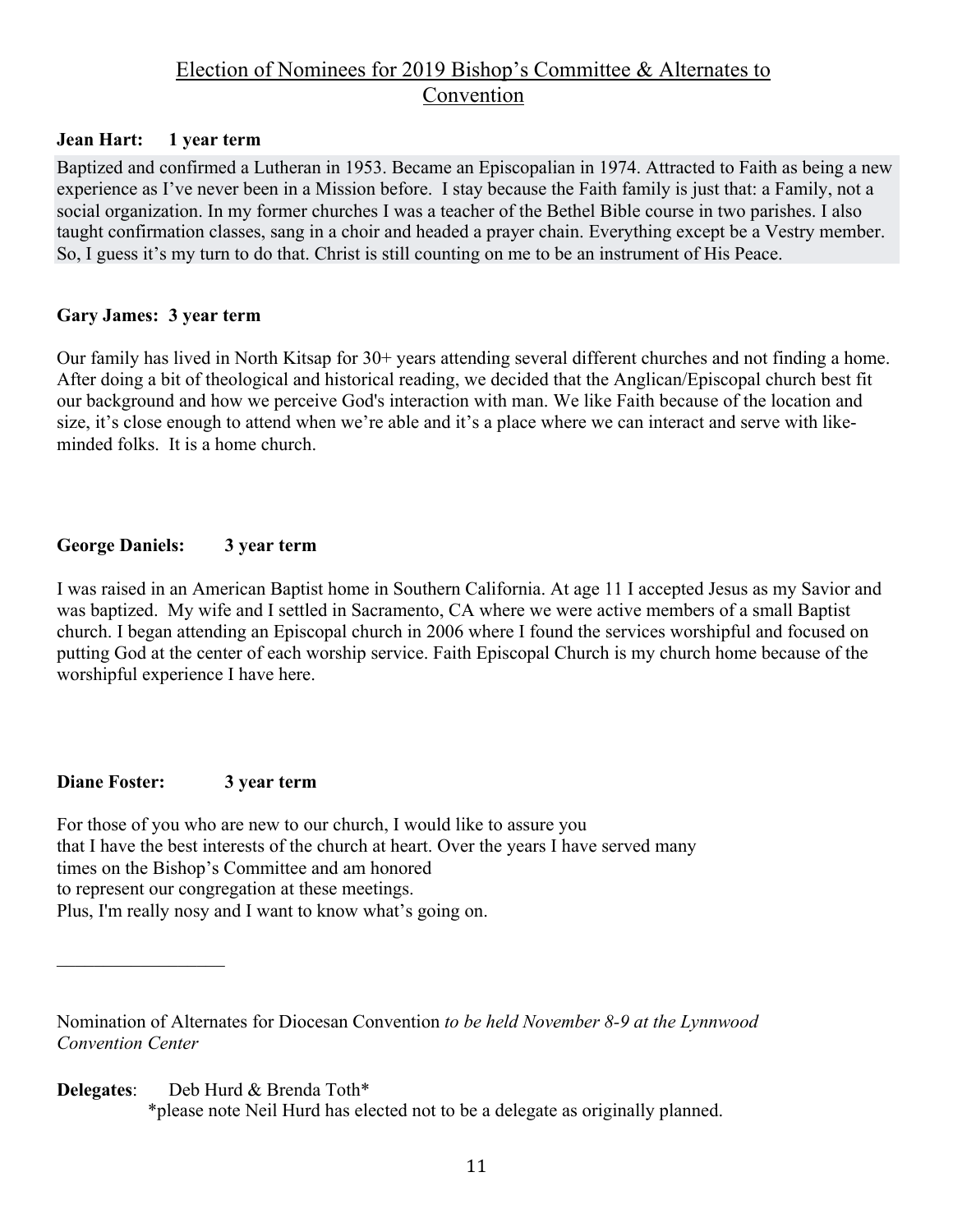## Election of Nominees for 2019 Bishop's Committee & Alternates to Convention

#### **Jean Hart: 1 year term**

Baptized and confirmed a Lutheran in 1953. Became an Episcopalian in 1974. Attracted to Faith as being a new experience as I've never been in a Mission before. I stay because the Faith family is just that: a Family, not a social organization. In my former churches I was a teacher of the Bethel Bible course in two parishes. I also taught confirmation classes, sang in a choir and headed a prayer chain. Everything except be a Vestry member. So, I guess it's my turn to do that. Christ is still counting on me to be an instrument of His Peace.

#### **Gary James: 3 year term**

Our family has lived in North Kitsap for 30+ years attending several different churches and not finding a home. After doing a bit of theological and historical reading, we decided that the Anglican/Episcopal church best fit our background and how we perceive God's interaction with man. We like Faith because of the location and size, it's close enough to attend when we're able and it's a place where we can interact and serve with likeminded folks. It is a home church.

#### **George Daniels: 3 year term**

I was raised in an American Baptist home in Southern California. At age 11 I accepted Jesus as my Savior and was baptized. My wife and I settled in Sacramento, CA where we were active members of a small Baptist church. I began attending an Episcopal church in 2006 where I found the services worshipful and focused on putting God at the center of each worship service. Faith Episcopal Church is my church home because of the worshipful experience I have here.

#### **Diane Foster: 3 year term**

For those of you who are new to our church, I would like to assure you that I have the best interests of the church at heart. Over the years I have served many times on the Bishop's Committee and am honored to represent our congregation at these meetings. Plus, I'm really nosy and I want to know what's going on.

**Delegates**: Deb Hurd & Brenda Toth\* \*please note Neil Hurd has elected not to be a delegate as originally planned.

Nomination of Alternates for Diocesan Convention *to be held November 8-9 at the Lynnwood Convention Center*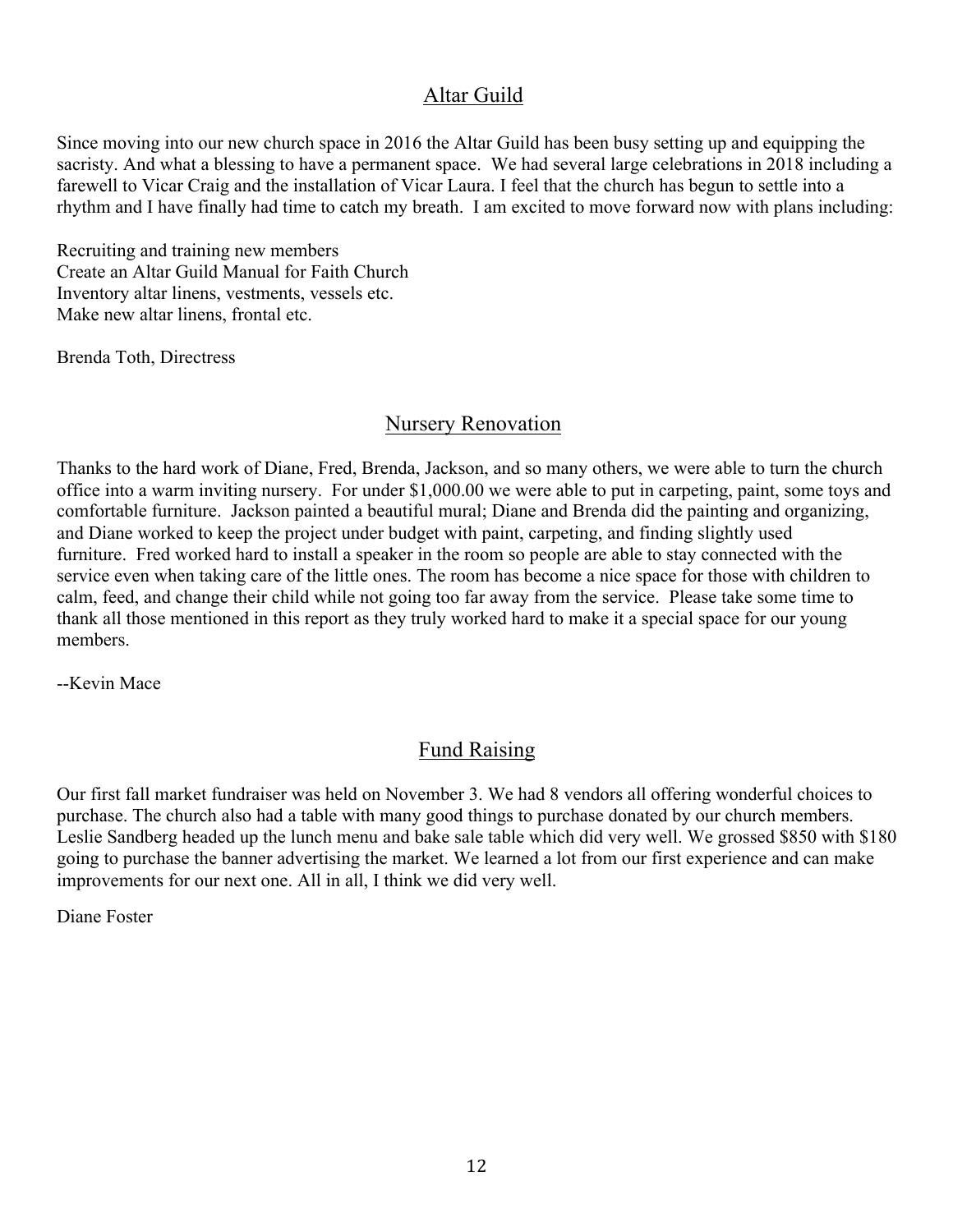## Altar Guild

Since moving into our new church space in 2016 the Altar Guild has been busy setting up and equipping the sacristy. And what a blessing to have a permanent space. We had several large celebrations in 2018 including a farewell to Vicar Craig and the installation of Vicar Laura. I feel that the church has begun to settle into a rhythm and I have finally had time to catch my breath. I am excited to move forward now with plans including:

Recruiting and training new members Create an Altar Guild Manual for Faith Church Inventory altar linens, vestments, vessels etc. Make new altar linens, frontal etc.

Brenda Toth, Directress

#### Nursery Renovation

Thanks to the hard work of Diane, Fred, Brenda, Jackson, and so many others, we were able to turn the church office into a warm inviting nursery. For under \$1,000.00 we were able to put in carpeting, paint, some toys and comfortable furniture. Jackson painted a beautiful mural; Diane and Brenda did the painting and organizing, and Diane worked to keep the project under budget with paint, carpeting, and finding slightly used furniture. Fred worked hard to install a speaker in the room so people are able to stay connected with the service even when taking care of the little ones. The room has become a nice space for those with children to calm, feed, and change their child while not going too far away from the service. Please take some time to thank all those mentioned in this report as they truly worked hard to make it a special space for our young members.

--Kevin Mace

## Fund Raising

Our first fall market fundraiser was held on November 3. We had 8 vendors all offering wonderful choices to purchase. The church also had a table with many good things to purchase donated by our church members. Leslie Sandberg headed up the lunch menu and bake sale table which did very well. We grossed \$850 with \$180 going to purchase the banner advertising the market. We learned a lot from our first experience and can make improvements for our next one. All in all, I think we did very well.

Diane Foster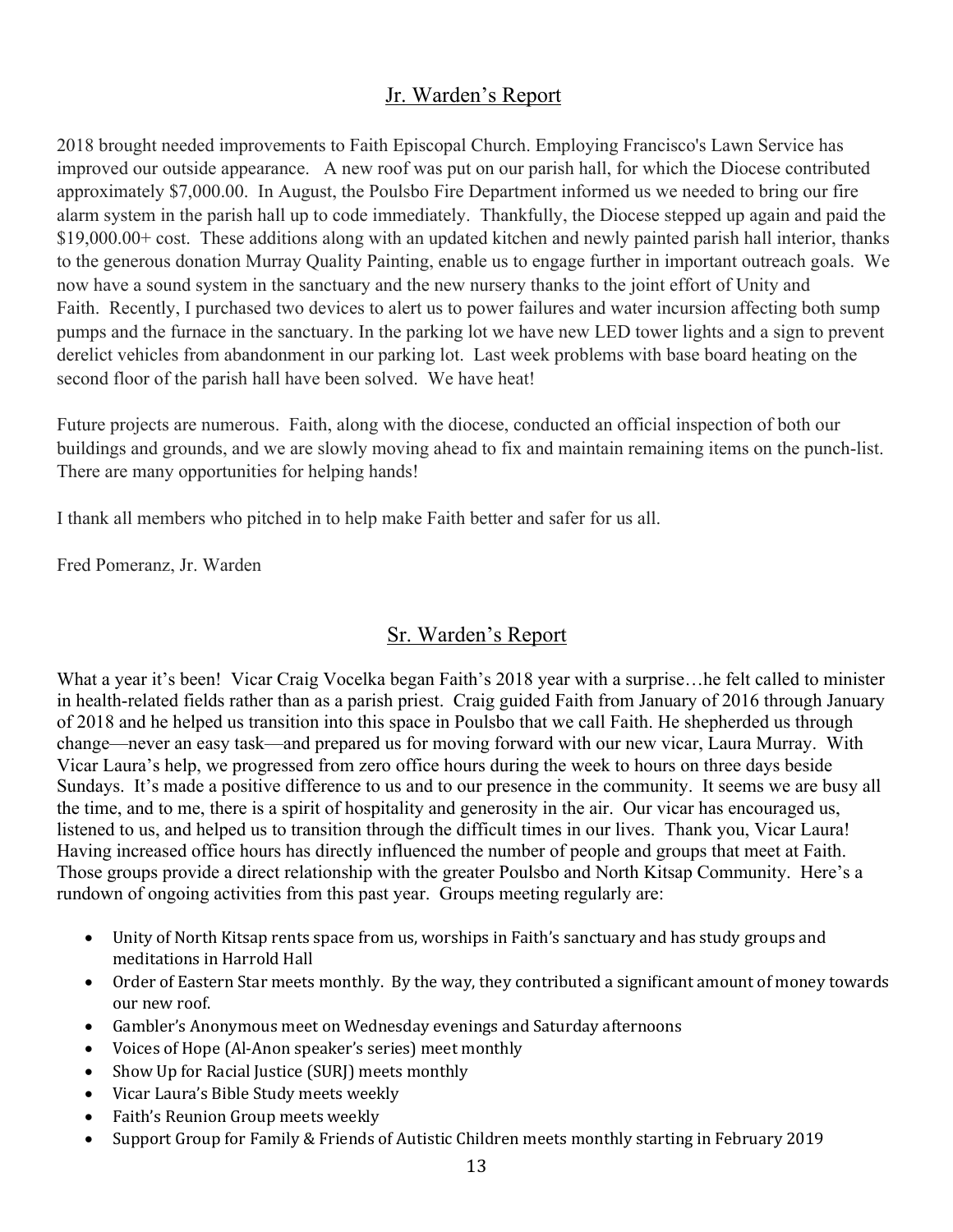## Jr. Warden's Report

2018 brought needed improvements to Faith Episcopal Church. Employing Francisco's Lawn Service has improved our outside appearance. A new roof was put on our parish hall, for which the Diocese contributed approximately \$7,000.00. In August, the Poulsbo Fire Department informed us we needed to bring our fire alarm system in the parish hall up to code immediately. Thankfully, the Diocese stepped up again and paid the \$19,000.00+ cost. These additions along with an updated kitchen and newly painted parish hall interior, thanks to the generous donation Murray Quality Painting, enable us to engage further in important outreach goals. We now have a sound system in the sanctuary and the new nursery thanks to the joint effort of Unity and Faith. Recently, I purchased two devices to alert us to power failures and water incursion affecting both sump pumps and the furnace in the sanctuary. In the parking lot we have new LED tower lights and a sign to prevent derelict vehicles from abandonment in our parking lot. Last week problems with base board heating on the second floor of the parish hall have been solved. We have heat!

Future projects are numerous. Faith, along with the diocese, conducted an official inspection of both our buildings and grounds, and we are slowly moving ahead to fix and maintain remaining items on the punch-list. There are many opportunities for helping hands!

I thank all members who pitched in to help make Faith better and safer for us all.

Fred Pomeranz, Jr. Warden

## Sr. Warden's Report

What a year it's been! Vicar Craig Vocelka began Faith's 2018 year with a surprise…he felt called to minister in health-related fields rather than as a parish priest. Craig guided Faith from January of 2016 through January of 2018 and he helped us transition into this space in Poulsbo that we call Faith. He shepherded us through change—never an easy task—and prepared us for moving forward with our new vicar, Laura Murray. With Vicar Laura's help, we progressed from zero office hours during the week to hours on three days beside Sundays. It's made a positive difference to us and to our presence in the community. It seems we are busy all the time, and to me, there is a spirit of hospitality and generosity in the air. Our vicar has encouraged us, listened to us, and helped us to transition through the difficult times in our lives. Thank you, Vicar Laura! Having increased office hours has directly influenced the number of people and groups that meet at Faith. Those groups provide a direct relationship with the greater Poulsbo and North Kitsap Community. Here's a rundown of ongoing activities from this past year. Groups meeting regularly are:

- Unity of North Kitsap rents space from us, worships in Faith's sanctuary and has study groups and meditations in Harrold Hall
- Order of Eastern Star meets monthly. By the way, they contributed a significant amount of money towards our new roof.
- Gambler's Anonymous meet on Wednesday evenings and Saturday afternoons
- Voices of Hope (Al-Anon speaker's series) meet monthly
- Show Up for Racial Justice (SURJ) meets monthly
- Vicar Laura's Bible Study meets weekly
- Faith's Reunion Group meets weekly
- Support Group for Family & Friends of Autistic Children meets monthly starting in February 2019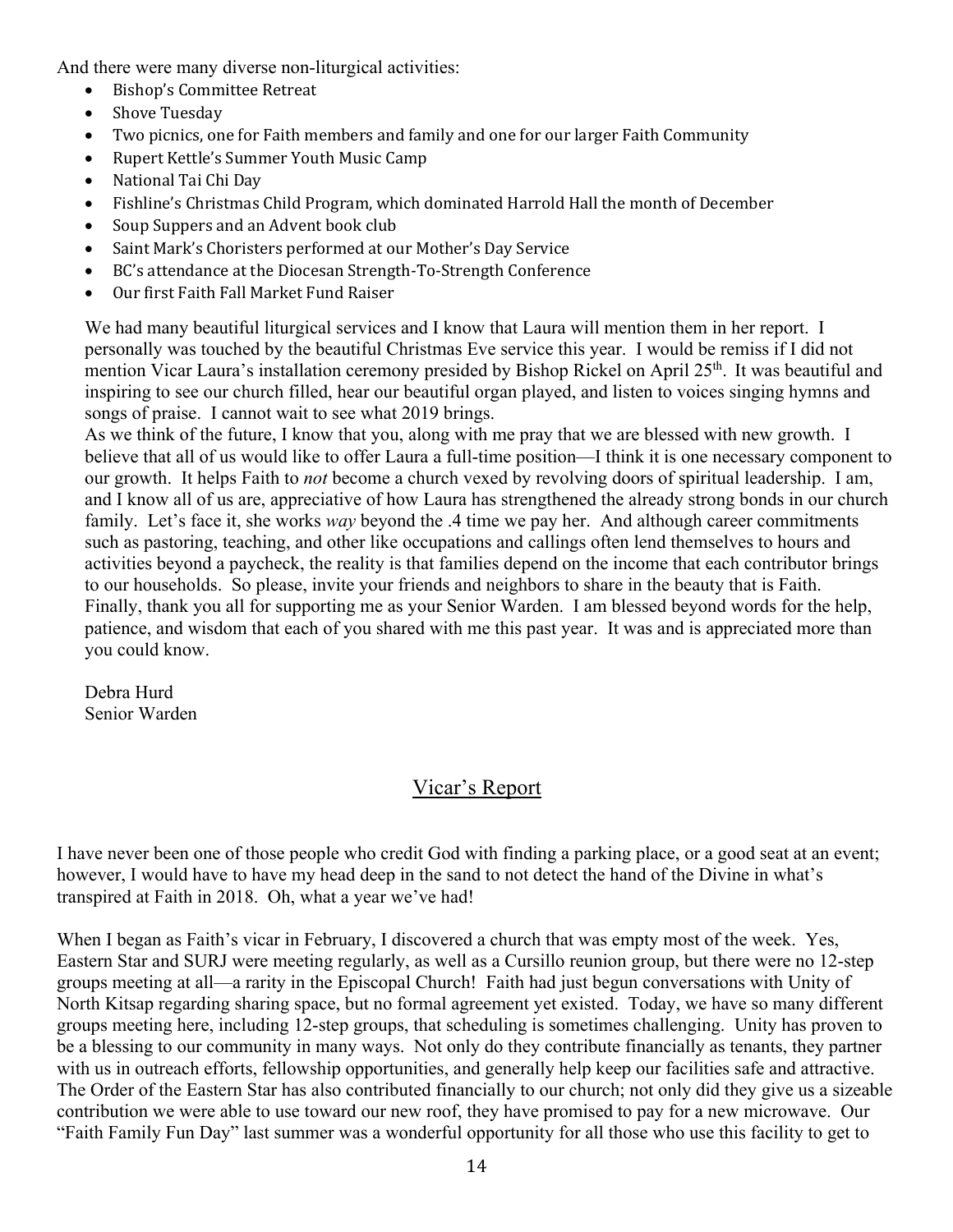And there were many diverse non-liturgical activities:

- Bishop's Committee Retreat
- Shove Tuesday
- Two picnics, one for Faith members and family and one for our larger Faith Community
- Rupert Kettle's Summer Youth Music Camp
- National Tai Chi Day
- Fishline's Christmas Child Program, which dominated Harrold Hall the month of December
- Soup Suppers and an Advent book club
- Saint Mark's Choristers performed at our Mother's Day Service
- BC's attendance at the Diocesan Strength-To-Strength Conference
- Our first Faith Fall Market Fund Raiser

We had many beautiful liturgical services and I know that Laura will mention them in her report. I personally was touched by the beautiful Christmas Eve service this year. I would be remiss if I did not mention Vicar Laura's installation ceremony presided by Bishop Rickel on April 25<sup>th</sup>. It was beautiful and inspiring to see our church filled, hear our beautiful organ played, and listen to voices singing hymns and songs of praise. I cannot wait to see what 2019 brings.

As we think of the future, I know that you, along with me pray that we are blessed with new growth. I believe that all of us would like to offer Laura a full-time position—I think it is one necessary component to our growth. It helps Faith to *not* become a church vexed by revolving doors of spiritual leadership. I am, and I know all of us are, appreciative of how Laura has strengthened the already strong bonds in our church family. Let's face it, she works *way* beyond the .4 time we pay her. And although career commitments such as pastoring, teaching, and other like occupations and callings often lend themselves to hours and activities beyond a paycheck, the reality is that families depend on the income that each contributor brings to our households. So please, invite your friends and neighbors to share in the beauty that is Faith. Finally, thank you all for supporting me as your Senior Warden. I am blessed beyond words for the help, patience, and wisdom that each of you shared with me this past year. It was and is appreciated more than you could know.

Debra Hurd Senior Warden

## Vicar's Report

I have never been one of those people who credit God with finding a parking place, or a good seat at an event; however, I would have to have my head deep in the sand to not detect the hand of the Divine in what's transpired at Faith in 2018. Oh, what a year we've had!

When I began as Faith's vicar in February, I discovered a church that was empty most of the week. Yes, Eastern Star and SURJ were meeting regularly, as well as a Cursillo reunion group, but there were no 12-step groups meeting at all—a rarity in the Episcopal Church! Faith had just begun conversations with Unity of North Kitsap regarding sharing space, but no formal agreement yet existed. Today, we have so many different groups meeting here, including 12-step groups, that scheduling is sometimes challenging. Unity has proven to be a blessing to our community in many ways. Not only do they contribute financially as tenants, they partner with us in outreach efforts, fellowship opportunities, and generally help keep our facilities safe and attractive. The Order of the Eastern Star has also contributed financially to our church; not only did they give us a sizeable contribution we were able to use toward our new roof, they have promised to pay for a new microwave. Our "Faith Family Fun Day" last summer was a wonderful opportunity for all those who use this facility to get to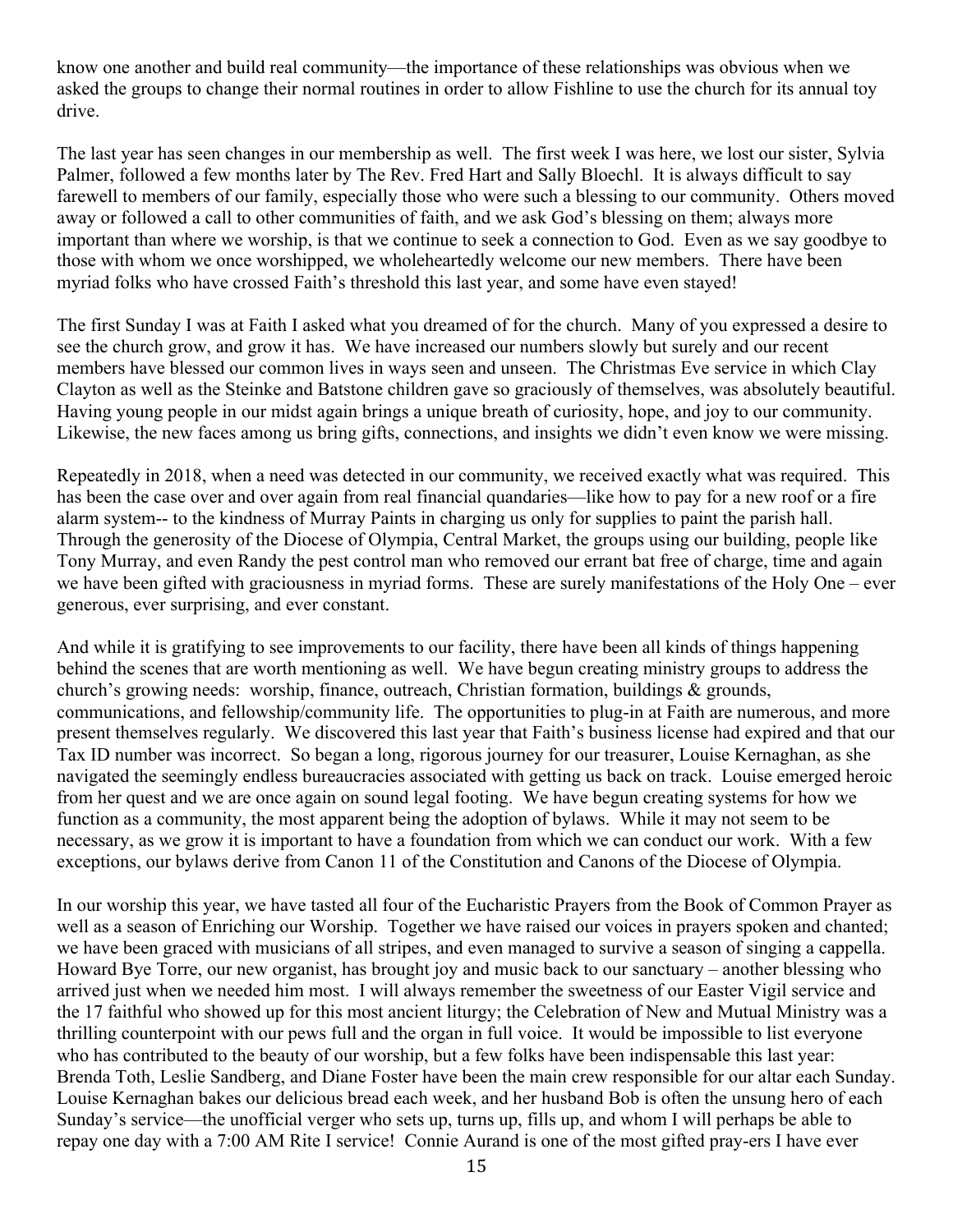know one another and build real community—the importance of these relationships was obvious when we asked the groups to change their normal routines in order to allow Fishline to use the church for its annual toy drive.

The last year has seen changes in our membership as well. The first week I was here, we lost our sister, Sylvia Palmer, followed a few months later by The Rev. Fred Hart and Sally Bloechl. It is always difficult to say farewell to members of our family, especially those who were such a blessing to our community. Others moved away or followed a call to other communities of faith, and we ask God's blessing on them; always more important than where we worship, is that we continue to seek a connection to God. Even as we say goodbye to those with whom we once worshipped, we wholeheartedly welcome our new members. There have been myriad folks who have crossed Faith's threshold this last year, and some have even stayed!

The first Sunday I was at Faith I asked what you dreamed of for the church. Many of you expressed a desire to see the church grow, and grow it has. We have increased our numbers slowly but surely and our recent members have blessed our common lives in ways seen and unseen. The Christmas Eve service in which Clay Clayton as well as the Steinke and Batstone children gave so graciously of themselves, was absolutely beautiful. Having young people in our midst again brings a unique breath of curiosity, hope, and joy to our community. Likewise, the new faces among us bring gifts, connections, and insights we didn't even know we were missing.

Repeatedly in 2018, when a need was detected in our community, we received exactly what was required. This has been the case over and over again from real financial quandaries—like how to pay for a new roof or a fire alarm system-- to the kindness of Murray Paints in charging us only for supplies to paint the parish hall. Through the generosity of the Diocese of Olympia, Central Market, the groups using our building, people like Tony Murray, and even Randy the pest control man who removed our errant bat free of charge, time and again we have been gifted with graciousness in myriad forms. These are surely manifestations of the Holy One – ever generous, ever surprising, and ever constant.

And while it is gratifying to see improvements to our facility, there have been all kinds of things happening behind the scenes that are worth mentioning as well. We have begun creating ministry groups to address the church's growing needs: worship, finance, outreach, Christian formation, buildings & grounds, communications, and fellowship/community life. The opportunities to plug-in at Faith are numerous, and more present themselves regularly. We discovered this last year that Faith's business license had expired and that our Tax ID number was incorrect. So began a long, rigorous journey for our treasurer, Louise Kernaghan, as she navigated the seemingly endless bureaucracies associated with getting us back on track. Louise emerged heroic from her quest and we are once again on sound legal footing. We have begun creating systems for how we function as a community, the most apparent being the adoption of bylaws. While it may not seem to be necessary, as we grow it is important to have a foundation from which we can conduct our work. With a few exceptions, our bylaws derive from Canon 11 of the Constitution and Canons of the Diocese of Olympia.

In our worship this year, we have tasted all four of the Eucharistic Prayers from the Book of Common Prayer as well as a season of Enriching our Worship. Together we have raised our voices in prayers spoken and chanted; we have been graced with musicians of all stripes, and even managed to survive a season of singing a cappella. Howard Bye Torre, our new organist, has brought joy and music back to our sanctuary – another blessing who arrived just when we needed him most. I will always remember the sweetness of our Easter Vigil service and the 17 faithful who showed up for this most ancient liturgy; the Celebration of New and Mutual Ministry was a thrilling counterpoint with our pews full and the organ in full voice. It would be impossible to list everyone who has contributed to the beauty of our worship, but a few folks have been indispensable this last year: Brenda Toth, Leslie Sandberg, and Diane Foster have been the main crew responsible for our altar each Sunday. Louise Kernaghan bakes our delicious bread each week, and her husband Bob is often the unsung hero of each Sunday's service—the unofficial verger who sets up, turns up, fills up, and whom I will perhaps be able to repay one day with a 7:00 AM Rite I service! Connie Aurand is one of the most gifted pray-ers I have ever